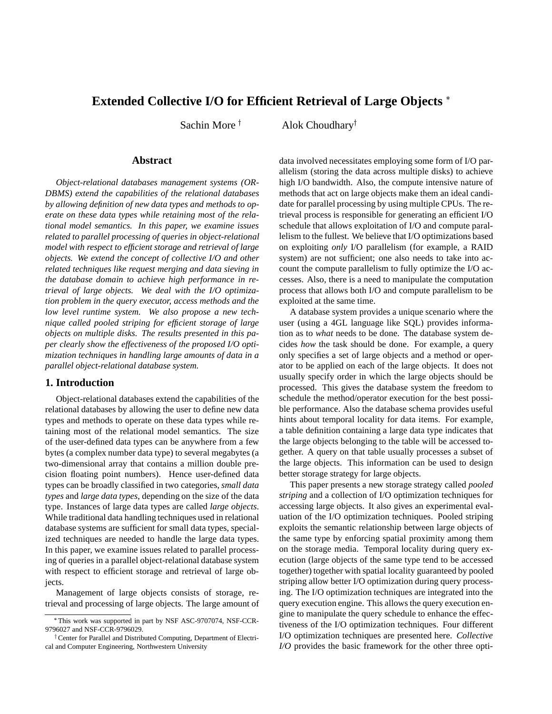# **Extended Collective I/O for Efficient Retrieval of Large Objects**

Sachin More  $<sup>†</sup>$ </sup>

Alok Choudhary<sup> $\dagger$ </sup>

## **Abstract**

*Object-relational databases management systems (OR-DBMS) extend the capabilities of the relational databases by allowing definition of new data types and methods to operate on these data types while retaining most of the relational model semantics. In this paper, we examine issues related to parallel processing of queries in object-relational model with respect to efficient storage and retrieval of large objects. We extend the concept of collective I/O and other related techniques like request merging and data sieving in the database domain to achieve high performance in retrieval of large objects. We deal with the I/O optimization problem in the query executor, access methods and the low level runtime system. We also propose a new technique called pooled striping for efficient storage of large objects on multiple disks. The results presented in this paper clearly show the effectiveness of the proposed I/O optimization techniques in handling large amounts of data in a parallel object-relational database system.*

#### **1. Introduction**

Object-relational databases extend the capabilities of the relational databases by allowing the user to define new data types and methods to operate on these data types while retaining most of the relational model semantics. The size of the user-defined data types can be anywhere from a few bytes (a complex number data type) to several megabytes (a two-dimensional array that contains a million double precision floating point numbers). Hence user-defined data types can be broadly classified in two categories, *small data types* and *large data types*, depending on the size of the data type. Instances of large data types are called *large objects*. While traditional data handling techniques used in relational database systems are sufficient for small data types, specialized techniques are needed to handle the large data types. In this paper, we examine issues related to parallel processing of queries in a parallel object-relational database system with respect to efficient storage and retrieval of large objects.

Management of large objects consists of storage, retrieval and processing of large objects. The large amount of

data involved necessitates employing some form of I/O parallelism (storing the data across multiple disks) to achieve high I/O bandwidth. Also, the compute intensive nature of methods that act on large objects make them an ideal candidate for parallel processing by using multiple CPUs. The retrieval process is responsible for generating an efficient I/O schedule that allows exploitation of I/O and compute parallelism to the fullest. We believe that I/O optimizations based on exploiting *only* I/O parallelism (for example, a RAID system) are not sufficient; one also needs to take into account the compute parallelism to fully optimize the I/O accesses. Also, there is a need to manipulate the computation process that allows both I/O and compute parallelism to be exploited at the same time.

A database system provides a unique scenario where the user (using a 4GL language like SQL) provides information as to *what* needs to be done. The database system decides *how* the task should be done. For example, a query only specifies a set of large objects and a method or operator to be applied on each of the large objects. It does not usually specify order in which the large objects should be processed. This gives the database system the freedom to schedule the method/operator execution for the best possible performance. Also the database schema provides useful hints about temporal locality for data items. For example, a table definition containing a large data type indicates that the large objects belonging to the table will be accessed together. A query on that table usually processes a subset of the large objects. This information can be used to design better storage strategy for large objects.

This paper presents a new storage strategy called *pooled striping* and a collection of I/O optimization techniques for accessing large objects. It also gives an experimental evaluation of the I/O optimization techniques. Pooled striping exploits the semantic relationship between large objects of the same type by enforcing spatial proximity among them on the storage media. Temporal locality during query execution (large objects of the same type tend to be accessed together) together with spatial locality guaranteed by pooled striping allow better I/O optimization during query processing. The I/O optimization techniques are integrated into the query execution engine. This allows the query execution engine to manipulate the query schedule to enhance the effectiveness of the I/O optimization techniques. Four different I/O optimization techniques are presented here. *Collective I/O* provides the basic framework for the other three opti-

This work was supported in part by NSF ASC-9707074, NSF-CCR-9796027 and NSF-CCR-9796029.

<sup>&</sup>lt;sup>†</sup> Center for Parallel and Distributed Computing, Department of Electrical and Computer Engineering, Northwestern University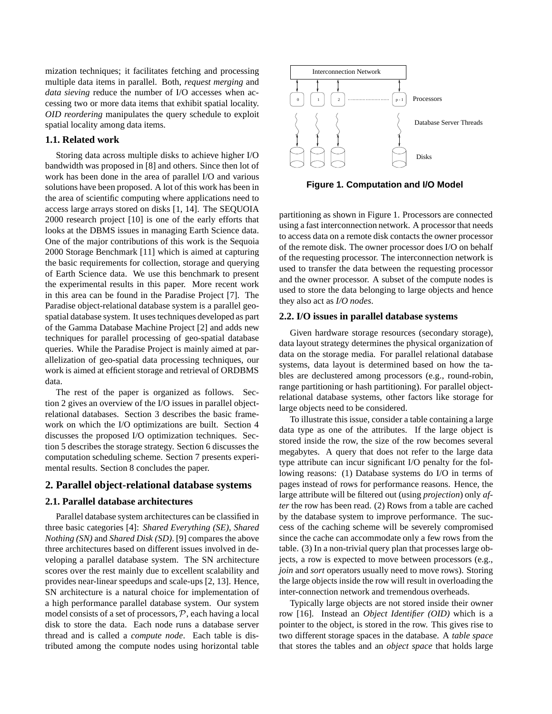mization techniques; it facilitates fetching and processing multiple data items in parallel. Both, *request merging* and *data sieving* reduce the number of I/O accesses when accessing two or more data items that exhibit spatial locality. *OID reordering* manipulates the query schedule to exploit spatial locality among data items.

#### **1.1. Related work**

Storing data across multiple disks to achieve higher I/O bandwidth was proposed in [8] and others. Since then lot of work has been done in the area of parallel I/O and various solutions have been proposed. A lot of this work has been in the area of scientific computing where applications need to access large arrays stored on disks [1, 14]. The SEQUOIA 2000 research project [10] is one of the early efforts that looks at the DBMS issues in managing Earth Science data. One of the major contributions of this work is the Sequoia 2000 Storage Benchmark [11] which is aimed at capturing the basic requirements for collection, storage and querying of Earth Science data. We use this benchmark to present the experimental results in this paper. More recent work in this area can be found in the Paradise Project [7]. The Paradise object-relational database system is a parallel geospatial database system. It uses techniques developed as part of the Gamma Database Machine Project [2] and adds new techniques for parallel processing of geo-spatial database queries. While the Paradise Project is mainly aimed at parallelization of geo-spatial data processing techniques, our work is aimed at efficient storage and retrieval of ORDBMS data.

The rest of the paper is organized as follows. Section 2 gives an overview of the I/O issues in parallel objectrelational databases. Section 3 describes the basic framework on which the I/O optimizations are built. Section 4 discusses the proposed I/O optimization techniques. Section 5 describes the storage strategy. Section 6 discusses the computation scheduling scheme. Section 7 presents experimental results. Section 8 concludes the paper.

## **2. Parallel object-relational database systems**

# **2.1. Parallel database architectures**

Parallel database system architectures can be classified in three basic categories [4]: *Shared Everything (SE)*, *Shared Nothing (SN)* and *Shared Disk (SD)*. [9] compares the above three architectures based on different issues involved in developing a parallel database system. The SN architecture scores over the rest mainly due to excellent scalability and provides near-linear speedups and scale-ups [2, 13]. Hence, SN architecture is a natural choice for implementation of a high performance parallel database system. Our system model consists of a set of processors,  $P$ , each having a local disk to store the data. Each node runs a database server thread and is called a *compute node*. Each table is distributed among the compute nodes using horizontal table



**Figure 1. Computation and I/O Model**

partitioning as shown in Figure 1. Processors are connected using a fast interconnection network. A processor that needs to access data on a remote disk contacts the owner processor of the remote disk. The owner processor does I/O on behalf of the requesting processor. The interconnection network is used to transfer the data between the requesting processor and the owner processor. A subset of the compute nodes is used to store the data belonging to large objects and hence they also act as *I/O nodes*.

#### **2.2. I/O issues in parallel database systems**

Given hardware storage resources (secondary storage), data layout strategy determines the physical organization of data on the storage media. For parallel relational database systems, data layout is determined based on how the tables are declustered among processors (e.g., round-robin, range partitioning or hash partitioning). For parallel objectrelational database systems, other factors like storage for large objects need to be considered.

To illustrate this issue, consider a table containing a large data type as one of the attributes. If the large object is stored inside the row, the size of the row becomes several megabytes. A query that does not refer to the large data type attribute can incur significant I/O penalty for the following reasons: (1) Database systems do I/O in terms of pages instead of rows for performance reasons. Hence, the large attribute will be filtered out (using *projection*) only *after* the row has been read. (2) Rows from a table are cached by the database system to improve performance. The success of the caching scheme will be severely compromised since the cache can accommodate only a few rows from the table. (3) In a non-trivial query plan that processes large objects, a row is expected to move between processors (e.g., *join* and *sort* operators usually need to move rows). Storing the large objects inside the row will result in overloading the inter-connection network and tremendous overheads.

Typically large objects are not stored inside their owner row [16]. Instead an *Object Identifier (OID)* which is a pointer to the object, is stored in the row. This gives rise to two different storage spaces in the database. A *table space* that stores the tables and an *object space* that holds large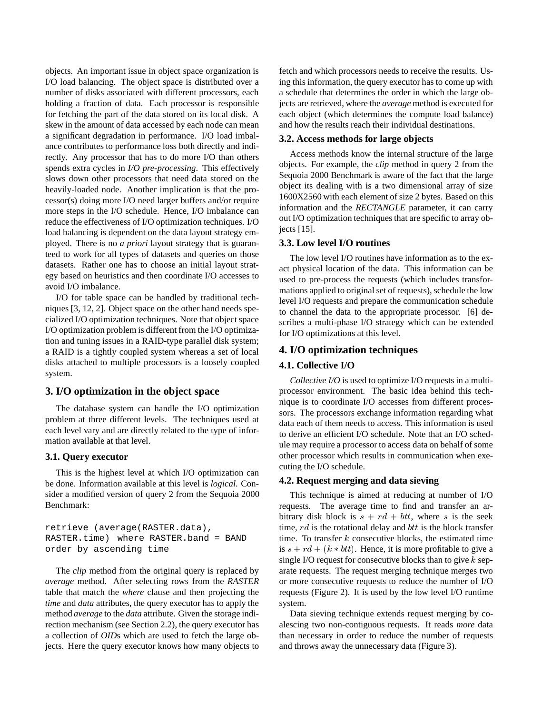objects. An important issue in object space organization is I/O load balancing. The object space is distributed over a number of disks associated with different processors, each holding a fraction of data. Each processor is responsible for fetching the part of the data stored on its local disk. A skew in the amount of data accessed by each node can mean a significant degradation in performance. I/O load imbalance contributes to performance loss both directly and indirectly. Any processor that has to do more I/O than others spends extra cycles in *I/O pre-processing*. This effectively slows down other processors that need data stored on the heavily-loaded node. Another implication is that the processor(s) doing more I/O need larger buffers and/or require more steps in the I/O schedule. Hence, I/O imbalance can reduce the effectiveness of I/O optimization techniques. I/O load balancing is dependent on the data layout strategy employed. There is no *a priori* layout strategy that is guaranteed to work for all types of datasets and queries on those datasets. Rather one has to choose an initial layout strategy based on heuristics and then coordinate I/O accesses to avoid I/O imbalance.

I/O for table space can be handled by traditional techniques [3, 12, 2]. Object space on the other hand needs specialized I/O optimization techniques. Note that object space I/O optimization problem is different from the I/O optimization and tuning issues in a RAID-type parallel disk system; a RAID is a tightly coupled system whereas a set of local disks attached to multiple processors is a loosely coupled system.

# **3. I/O optimization in the object space**

The database system can handle the I/O optimization problem at three different levels. The techniques used at each level vary and are directly related to the type of information available at that level.

#### **3.1. Query executor**

This is the highest level at which I/O optimization can be done. Information available at this level is *logical*. Consider a modified version of query 2 from the Sequoia 2000 Benchmark:

retrieve (average(RASTER.data), RASTER.time) where RASTER.band = BAND order by ascending time

The *clip* method from the original query is replaced by *average* method. After selecting rows from the *RASTER* table that match the *where* clause and then projecting the *time* and *data* attributes, the query executor has to apply the method *average* to the *data* attribute. Given the storage indirection mechanism (see Section 2.2), the query executor has a collection of *OID*s which are used to fetch the large objects. Here the query executor knows how many objects to fetch and which processors needs to receive the results. Using this information, the query executor has to come up with a schedule that determines the order in which the large objects are retrieved, where the *average* method is executed for each object (which determines the compute load balance) and how the results reach their individual destinations.

# **3.2. Access methods for large objects**

Access methods know the internal structure of the large objects. For example, the *clip* method in query 2 from the Sequoia 2000 Benchmark is aware of the fact that the large object its dealing with is a two dimensional array of size 1600X2560 with each element of size 2 bytes. Based on this information and the *RECTANGLE* parameter, it can carry out I/O optimization techniques that are specific to array objects [15].

# **3.3. Low level I/O routines**

The low level I/O routines have information as to the exact physical location of the data. This information can be used to pre-process the requests (which includes transformations applied to original set of requests), schedule the low level I/O requests and prepare the communication schedule to channel the data to the appropriate processor. [6] describes a multi-phase I/O strategy which can be extended for I/O optimizations at this level.

#### **4. I/O optimization techniques**

#### **4.1. Collective I/O**

*Collective I/O* is used to optimize I/O requests in a multiprocessor environment. The basic idea behind this technique is to coordinate I/O accesses from different processors. The processors exchange information regarding what data each of them needs to access. This information is used to derive an efficient I/O schedule. Note that an I/O schedule may require a processor to access data on behalf of some other processor which results in communication when executing the I/O schedule.

#### **4.2. Request merging and data sieving**

This technique is aimed at reducing at number of I/O requests. The average time to find and transfer an arbitrary disk block is  $s + rd + bt$ , where s is the seek time,  $rd$  is the rotational delay and  $btt$  is the block transfer time. To transfer  $k$  consecutive blocks, the estimated time is  $s + rd + (k * bt)$ . Hence, it is more profitable to give a single I/O request for consecutive blocks than to give  $k$  separate requests. The request merging technique merges two or more consecutive requests to reduce the number of I/O requests (Figure 2). It is used by the low level I/O runtime system.

Data sieving technique extends request merging by coalescing two non-contiguous requests. It reads *more* data than necessary in order to reduce the number of requests and throws away the unnecessary data (Figure 3).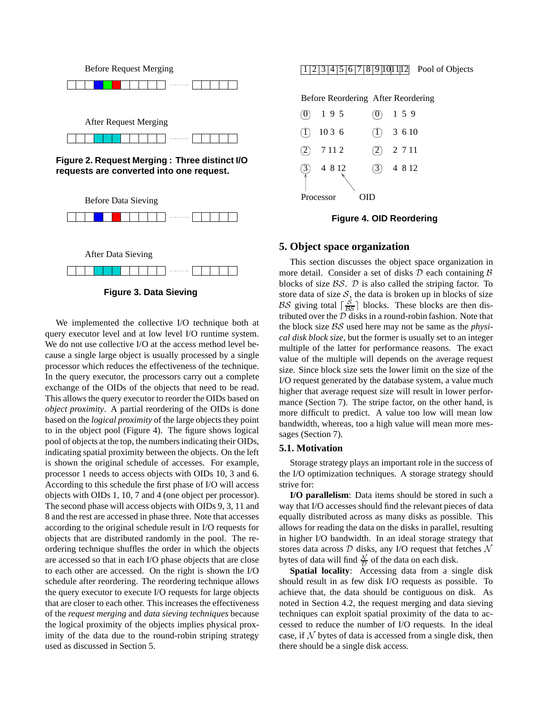



**Figure 3. Data Sieving**

We implemented the collective I/O technique both at query executor level and at low level I/O runtime system. We do not use collective I/O at the access method level because a single large object is usually processed by a single processor which reduces the effectiveness of the technique. In the query executor, the processors carry out a complete exchange of the OIDs of the objects that need to be read. This allows the query executor to reorder the OIDs based on *object proximity*. A partial reordering of the OIDs is done based on the *logical proximity* of the large objects they point to in the object pool (Figure 4). The figure shows logical pool of objects at the top, the numbers indicating their OIDs, indicating spatial proximity between the objects. On the left is shown the original schedule of accesses. For example, processor 1 needs to access objects with OIDs 10, 3 and 6. According to this schedule the first phase of I/O will access objects with OIDs 1, 10, 7 and 4 (one object per processor). The second phase will access objects with OIDs 9, 3, 11 and 8 and the rest are accessed in phase three. Note that accesses according to the original schedule result in I/O requests for objects that are distributed randomly in the pool. The reordering technique shuffles the order in which the objects are accessed so that in each I/O phase objects that are close to each other are accessed. On the right is shown the I/O schedule after reordering. The reordering technique allows the query executor to execute I/O requests for large objects that are closer to each other. This increases the effectiveness of the *request merging* and *data sieving techniques* because the logical proximity of the objects implies physical proximity of the data due to the round-robin striping strategy used as discussed in Section 5.

#### $1|2|3|4|5|6|7|8|9|10|1|12$  Pool of Objects



|                              | $(0)$ 195 | $\mathbf{[O]}$ | 1 5 9   |  |  |
|------------------------------|-----------|----------------|---------|--|--|
| (1)                          | 10 3 6    | (1)            | 3 6 10  |  |  |
| (2)                          | 7112      | (2)            | 2 7 1 1 |  |  |
| $\left( \frac{3}{2} \right)$ | 4 8 1 2   | (3)            | 4 8 1 2 |  |  |
| Processor                    |           |                |         |  |  |

#### **Figure 4. OID Reordering**

## **5. Object space organization**

This section discusses the object space organization in more detail. Consider a set of disks  $D$  each containing  $B$ blocks of size  $\beta \mathcal{S}$ .  $\mathcal{D}$  is also called the striping factor. To store data of size  $S$ , the data is broken up in blocks of size BS giving total  $\lceil \frac{S}{BS} \rceil$  blocks. These blocks are then distributed over the  $D$  disks in a round-robin fashion. Note that the block size BS used here may not be same as the *physical disk block size*, but the former is usually set to an integer multiple of the latter for performance reasons. The exact value of the multiple will depends on the average request size. Since block size sets the lower limit on the size of the I/O request generated by the database system, a value much higher that average request size will result in lower performance (Section 7). The stripe factor, on the other hand, is more difficult to predict. A value too low will mean low bandwidth, whereas, too a high value will mean more messages (Section 7).

#### **5.1. Motivation**

Storage strategy plays an important role in the success of the I/O optimization techniques. A storage strategy should strive for:

**I/O parallelism**: Data items should be stored in such a way that I/O accesses should find the relevant pieces of data equally distributed across as many disks as possible. This allows for reading the data on the disks in parallel, resulting in higher I/O bandwidth. In an ideal storage strategy that stores data across  $D$  disks, any I/O request that fetches  $\mathcal N$ bytes of data will find  $\frac{N}{D}$  of the data on each disk.

**Spatial locality**: Accessing data from a single disk should result in as few disk I/O requests as possible. To achieve that, the data should be contiguous on disk. As noted in Section 4.2, the request merging and data sieving techniques can exploit spatial proximity of the data to accessed to reduce the number of I/O requests. In the ideal case, if  $N$  bytes of data is accessed from a single disk, then there should be a single disk access.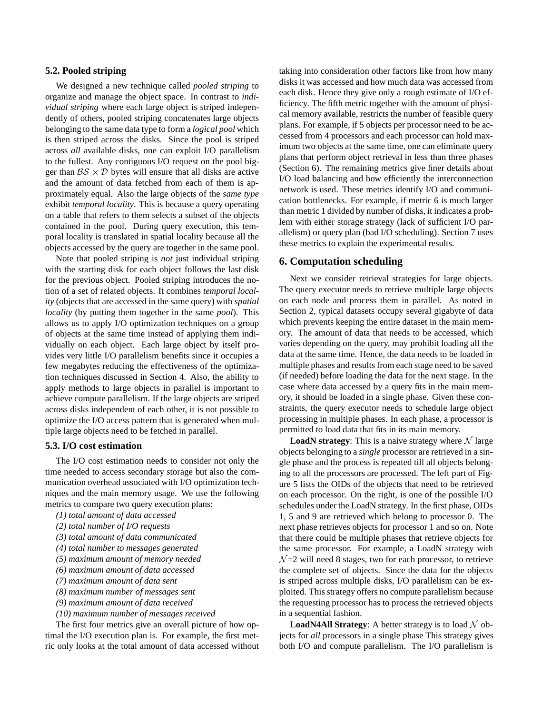#### **5.2. Pooled striping**

We designed a new technique called *pooled striping* to organize and manage the object space. In contrast to *individual striping* where each large object is striped independently of others, pooled striping concatenates large objects belonging to the same data type to form a *logical pool* which is then striped across the disks. Since the pool is striped across *all* available disks, one can exploit I/O parallelism to the fullest. Any contiguous I/O request on the pool bigger than  $BS \times D$  bytes will ensure that all disks are active and the amount of data fetched from each of them is approximately equal. Also the large objects of the *same type* exhibit *temporal locality*. This is because a query operating on a table that refers to them selects a subset of the objects contained in the pool. During query execution, this temporal locality is translated in spatial locality because all the objects accessed by the query are together in the same pool.

Note that pooled striping is *not* just individual striping with the starting disk for each object follows the last disk for the previous object. Pooled striping introduces the notion of a set of related objects. It combines *temporal locality* (objects that are accessed in the same query) with *spatial locality* (by putting them together in the same *pool*). This allows us to apply I/O optimization techniques on a group of objects at the same time instead of applying them individually on each object. Each large object by itself provides very little I/O parallelism benefits since it occupies a few megabytes reducing the effectiveness of the optimization techniques discussed in Section 4. Also, the ability to apply methods to large objects in parallel is important to achieve compute parallelism. If the large objects are striped across disks independent of each other, it is not possible to optimize the I/O access pattern that is generated when multiple large objects need to be fetched in parallel.

# **5.3. I/O cost estimation**

The I/O cost estimation needs to consider not only the time needed to access secondary storage but also the communication overhead associated with I/O optimization techniques and the main memory usage. We use the following metrics to compare two query execution plans:

- *(1) total amount of data accessed*
- *(2) total number of I/O requests*
- *(3) total amount of data communicated*
- *(4) total number to messages generated*
- *(5) maximum amount of memory needed*
- *(6) maximum amount of data accessed*
- *(7) maximum amount of data sent*
- *(8) maximum number of messages sent*
- *(9) maximum amount of data received*
- *(10) maximum number of messages received*

The first four metrics give an overall picture of how optimal the I/O execution plan is. For example, the first metric only looks at the total amount of data accessed without taking into consideration other factors like from how many disks it was accessed and how much data was accessed from each disk. Hence they give only a rough estimate of I/O efficiency. The fifth metric together with the amount of physical memory available, restricts the number of feasible query plans. For example, if 5 objects per processor need to be accessed from 4 processors and each processor can hold maximum two objects at the same time, one can eliminate query plans that perform object retrieval in less than three phases (Section 6). The remaining metrics give finer details about I/O load balancing and how efficiently the interconnection network is used. These metrics identify I/O and communication bottlenecks. For example, if metric 6 is much larger than metric 1 divided by number of disks, it indicates a problem with either storage strategy (lack of sufficient I/O parallelism) or query plan (bad I/O scheduling). Section 7 uses these metrics to explain the experimental results.

#### **6. Computation scheduling**

Next we consider retrieval strategies for large objects. The query executor needs to retrieve multiple large objects on each node and process them in parallel. As noted in Section 2, typical datasets occupy several gigabyte of data which prevents keeping the entire dataset in the main memory. The amount of data that needs to be accessed, which varies depending on the query, may prohibit loading all the data at the same time. Hence, the data needs to be loaded in multiple phases and results from each stage need to be saved (if needed) before loading the data for the next stage. In the case where data accessed by a query fits in the main memory, it should be loaded in a single phase. Given these constraints, the query executor needs to schedule large object processing in multiple phases. In each phase, a processor is permitted to load data that fits in its main memory.

**LoadN strategy**: This is a naive strategy where  $N$  large objects belonging to a *single* processor are retrieved in a single phase and the process is repeated till all objects belonging to all the processors are processed. The left part of Figure 5 lists the OIDs of the objects that need to be retrieved on each processor. On the right, is one of the possible I/O schedules under the LoadN strategy. In the first phase, OIDs 1, 5 and 9 are retrieved which belong to processor 0. The next phase retrieves objects for processor 1 and so on. Note that there could be multiple phases that retrieve objects for the same processor. For example, a LoadN strategy with  $\mathcal{N}=2$  will need 8 stages, two for each processor, to retrieve the complete set of objects. Since the data for the objects is striped across multiple disks, I/O parallelism can be exploited. This strategy offers no compute parallelism because the requesting processor has to process the retrieved objects in a sequential fashion.

**LoadN4All Strategy**: A better strategy is to load  $N$  objects for *all* processors in a single phase This strategy gives both I/O and compute parallelism. The I/O parallelism is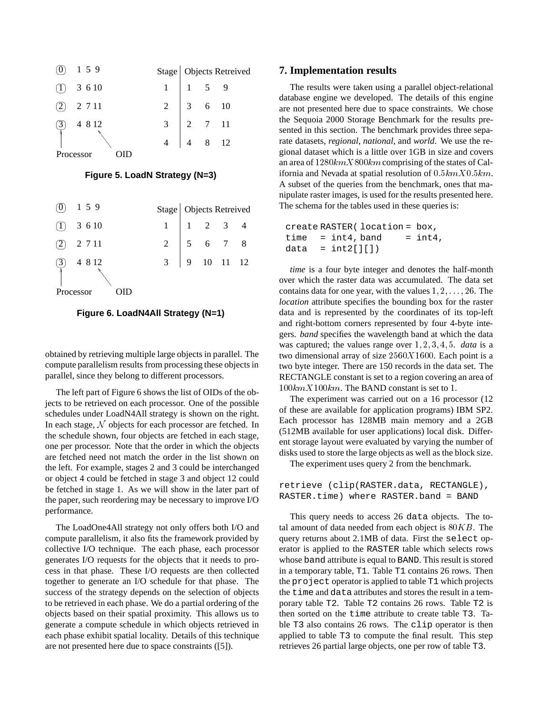

**Figure 5. LoadN Strategy (N=3)**

|              | 159     |  |  | Stage Objects Retreived<br>1 1 2 3 4<br>2 5 6 7 8<br>3 9 10 11 12 |  |  |  |  |  |
|--------------|---------|--|--|-------------------------------------------------------------------|--|--|--|--|--|
| $(1)$ 3 6 10 |         |  |  |                                                                   |  |  |  |  |  |
|              | 2 7 1 1 |  |  |                                                                   |  |  |  |  |  |
|              | 4 8 1 2 |  |  |                                                                   |  |  |  |  |  |
| Processor    |         |  |  |                                                                   |  |  |  |  |  |



obtained by retrieving multiple large objects in parallel. The compute parallelism results from processing these objects in parallel, since they belong to different processors.

The left part of Figure 6 shows the list of OIDs of the objects to be retrieved on each processor. One of the possible schedules under LoadN4All strategy is shown on the right. In each stage, <sup>N</sup> objects for each processor are fetched. In the schedule shown, four objects are fetched in each stage, one per processor. Note that the order in which the objects are fetched need not match the order in the list shown on the left. For example, stages 2 and 3 could be interchanged or object 4 could be fetched in stage 3 and object 12 could be fetched in stage 1. As we will show in the later part of the paper, such reordering may be necessary to improve I/O performance.

The LoadOne4All strategy not only offers both I/O and compute parallelism, it also fits the framework provided by collective I/O technique. The each phase, each processor generates I/O requests for the objects that it needs to process in that phase. These I/O requests are then collected together to generate an I/O schedule for that phase. The success of the strategy depends on the selection of objects to be retrieved in each phase. We do a partial ordering of the objects based on their spatial proximity. This allows us to generate a compute schedule in which objects retrieved in each phase exhibit spatial locality. Details of this technique are not presented here due to space constraints ([5]).

#### **7. Implementation results**

The results were taken using a parallel object-relational database engine we developed. The details of this engine are not presented here due to space constraints. We chose the Sequoia 2000 Storage Benchmark for the results presented in this section. The benchmark provides three separate datasets, *regional*, *national*, and *world*. We use the regional dataset which is a little over 1GB in size and covers an area of  $1280kmX800km$  comprising of the states of California and Nevada at spatial resolution of  $0.5kmX0.5km$ . A subset of the queries from the benchmark, ones that manipulate raster images, is used for the results presented here. The schema for the tables used in these queries is:

```
create RASTER( location = box,
time = int4, band = int4,data = int2[][]
```
*time* is a four byte integer and denotes the half-month over which the raster data was accumulated. The data set contains data for one year, with the values  $1, 2, \ldots, 26$ . The *location* attribute specifies the bounding box for the raster data and is represented by the coordinates of its top-left and right-bottom corners represented by four 4-byte integers. *band* specifies the wavelength band at which the data was captured; the values range over  $1, 2, 3, 4, 5$ . *data* is a two dimensional array of size  $2560X1600$ . Each point is a two byte integer. There are 150 records in the data set. The RECTANGLE constant is set to a region covering an area of  $100kmX100km$ . The BAND constant is set to 1.

The experiment was carried out on a 16 processor (12 of these are available for application programs) IBM SP2. Each processor has 128MB main memory and a 2GB (512MB available for user applications) local disk. Different storage layout were evaluated by varying the number of disks used to store the large objects as well as the block size.

The experiment uses query 2 from the benchmark.

```
retrieve (clip(RASTER.data, RECTANGLE),
RASTER.time) where RASTER.band = BAND
```
This query needs to access 26 data objects. The total amount of data needed from each object is  $80KB$ . The query returns about 2.1MB of data. First the select operator is applied to the RASTER table which selects rows whose band attribute is equal to BAND. This result is stored in a temporary table, T1. Table T1 contains 26 rows. Then the project operator is applied to table T1 which projects the time and data attributes and stores the result in a temporary table T2. Table T2 contains 26 rows. Table T2 is then sorted on the time attribute to create table T3. Table T3 also contains 26 rows. The clip operator is then applied to table T3 to compute the final result. This step retrieves 26 partial large objects, one per row of table T3.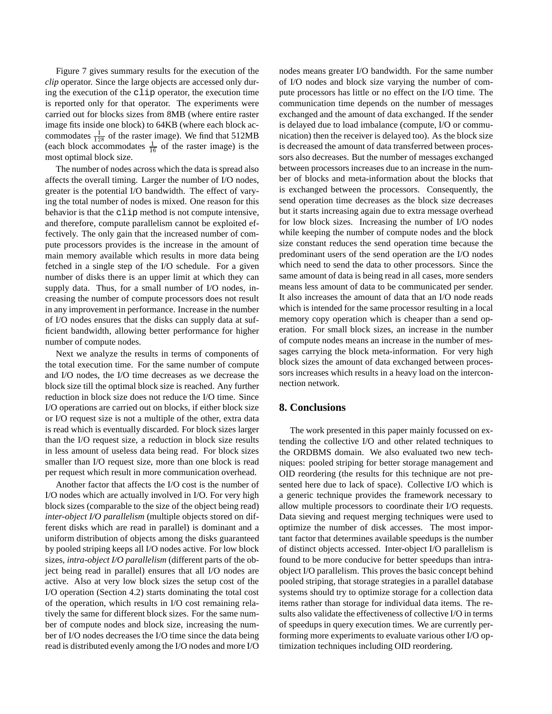Figure 7 gives summary results for the execution of the *clip* operator. Since the large objects are accessed only during the execution of the clip operator, the execution time is reported only for that operator. The experiments were carried out for blocks sizes from 8MB (where entire raster image fits inside one block) to 64KB (where each block accommodates  $\frac{1}{128}$  of the raster image). We find that 512MB (each block accommodates  $\frac{1}{16}$  of the raster image) is the most optimal block size.

The number of nodes across which the data is spread also affects the overall timing. Larger the number of I/O nodes, greater is the potential I/O bandwidth. The effect of varying the total number of nodes is mixed. One reason for this behavior is that the clip method is not compute intensive, and therefore, compute parallelism cannot be exploited effectively. The only gain that the increased number of compute processors provides is the increase in the amount of main memory available which results in more data being fetched in a single step of the I/O schedule. For a given number of disks there is an upper limit at which they can supply data. Thus, for a small number of I/O nodes, increasing the number of compute processors does not result in any improvement in performance. Increase in the number of I/O nodes ensures that the disks can supply data at sufficient bandwidth, allowing better performance for higher number of compute nodes.

Next we analyze the results in terms of components of the total execution time. For the same number of compute and I/O nodes, the I/O time decreases as we decrease the block size till the optimal block size is reached. Any further reduction in block size does not reduce the I/O time. Since I/O operations are carried out on blocks, if either block size or I/O request size is not a multiple of the other, extra data is read which is eventually discarded. For block sizes larger than the I/O request size, a reduction in block size results in less amount of useless data being read. For block sizes smaller than I/O request size, more than one block is read per request which result in more communication overhead.

Another factor that affects the I/O cost is the number of I/O nodes which are actually involved in I/O. For very high block sizes (comparable to the size of the object being read) *inter-object I/O parallelism* (multiple objects stored on different disks which are read in parallel) is dominant and a uniform distribution of objects among the disks guaranteed by pooled striping keeps all I/O nodes active. For low block sizes, *intra-object I/O parallelism* (different parts of the object being read in parallel) ensures that all I/O nodes are active. Also at very low block sizes the setup cost of the I/O operation (Section 4.2) starts dominating the total cost of the operation, which results in I/O cost remaining relatively the same for different block sizes. For the same number of compute nodes and block size, increasing the number of I/O nodes decreases the I/O time since the data being read is distributed evenly among the I/O nodes and more I/O nodes means greater I/O bandwidth. For the same number of I/O nodes and block size varying the number of compute processors has little or no effect on the I/O time. The communication time depends on the number of messages exchanged and the amount of data exchanged. If the sender is delayed due to load imbalance (compute, I/O or communication) then the receiver is delayed too). As the block size is decreased the amount of data transferred between processors also decreases. But the number of messages exchanged between processors increases due to an increase in the number of blocks and meta-information about the blocks that is exchanged between the processors. Consequently, the send operation time decreases as the block size decreases but it starts increasing again due to extra message overhead for low block sizes. Increasing the number of I/O nodes while keeping the number of compute nodes and the block size constant reduces the send operation time because the predominant users of the send operation are the I/O nodes which need to send the data to other processors. Since the same amount of data is being read in all cases, more senders means less amount of data to be communicated per sender. It also increases the amount of data that an I/O node reads which is intended for the same processor resulting in a local memory copy operation which is cheaper than a send operation. For small block sizes, an increase in the number of compute nodes means an increase in the number of messages carrying the block meta-information. For very high block sizes the amount of data exchanged between processors increases which results in a heavy load on the interconnection network.

## **8. Conclusions**

The work presented in this paper mainly focussed on extending the collective I/O and other related techniques to the ORDBMS domain. We also evaluated two new techniques: pooled striping for better storage management and OID reordering (the results for this technique are not presented here due to lack of space). Collective I/O which is a generic technique provides the framework necessary to allow multiple processors to coordinate their I/O requests. Data sieving and request merging techniques were used to optimize the number of disk accesses. The most important factor that determines available speedups is the number of distinct objects accessed. Inter-object I/O parallelism is found to be more conducive for better speedups than intraobject I/O parallelism. This proves the basic concept behind pooled striping, that storage strategies in a parallel database systems should try to optimize storage for a collection data items rather than storage for individual data items. The results also validate the effectiveness of collective I/O in terms of speedups in query execution times. We are currently performing more experiments to evaluate various other I/O optimization techniques including OID reordering.